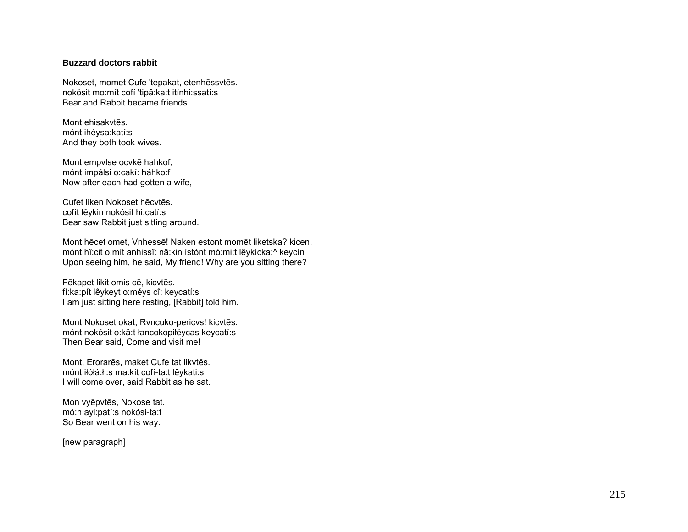## **Buzzard doctors rabbit**

Nokoset, momet Cufe 'tepakat, etenhēssvtēs. nokósit mo:mít cofí 'tipâ:ka:t itínhi:ssatí:s Bear and Rabbit became friends.

Mont ehisakvtēs. mónt ihéysa:katí:s And they both took wives.

Mont empvlse ocvkē hahkof, mónt impálsi o:cakí: háhko:f Now after each had gotten a wife,

Cufet liken Nokoset hēcvtēs. cofít lêykin nokósit hi:catí:s Bear saw Rabbit just sitting around.

Mont hēcet omet, Vnhessē! Naken estont momēt liketska? kicen, mónt hî:cit o:mít anhissî: nâ:kin ístónt mó:mi:t lêykícka:^ keycín Upon seeing him, he said, My friend! Why are you sitting there?

Fēkapet likit omis cē, kicvtēs. fí:ka:pít lêykeyt o:méys cî: keycatí:s I am just sitting here resting, [Rabbit] told him.

Mont Nokoset okat, Rvncuko-pericvs! kicvtēs. mónt nokósit o:kâ:t łancokopiłéycas keycatí:s Then Bear said, Come and visit me!

Mont, Erorarēs, maket Cufe tat likvtēs. mónt iłółá:łi:s ma:kít cofí-ta:t lêykati:s I will come over, said Rabbit as he sat.

Mon vyēpvtēs, Nokose tat. mó:n ayi:patí:s nokósi-ta:t So Bear went on his way.

[new paragraph]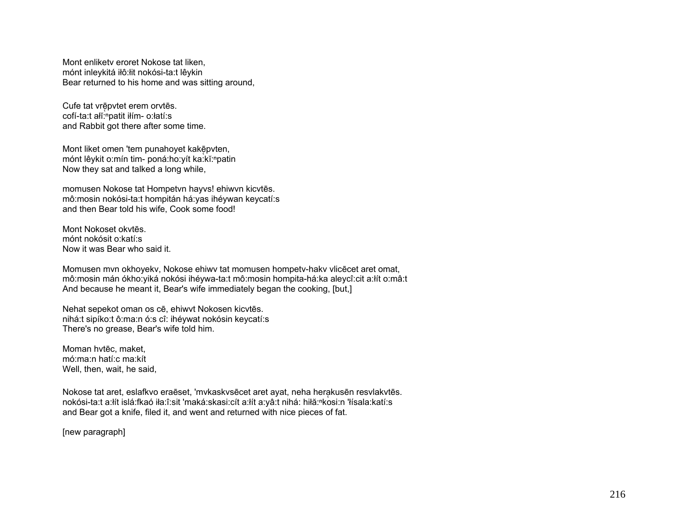Mont enliketv eroret Nokose tat liken, mónt inleykitá iłô:łit nokósi-ta:t lêykin Bear returned to his home and was sitting around,

Cufe tat vrē̜pvtet erem orvtēs. cofí-ta:t alĭ: "patit iłím- o:łatí:s and Rabbit got there after some time.

Mont liket omen 'tem punahoyet kakē pvten, mónt lêykit o:mín tim- poná:ho:yít ka:kĭ:npatin Now they sat and talked a long while,

momusen Nokose tat Hompetvn hayvs! ehiwvn kicvtēs. mô:mosin nokósi-ta:t hompitán há:yas ihéywan keycatí:s and then Bear told his wife, Cook some food!

Mont Nokoset okvtēs. mónt nokósit o:katí:s Now it was Bear who said it.

Momusen mvn okhoyekv, Nokose ehiwv tat momusen hompetv-hakv vlicēcet aret omat, mô:mosin mán ókho:yiká nokósi ihéywa-ta:t mô:mosin hompita-há:ka aleycî:cit a:łít o:mâ:t And because he meant it, Bear's wife immediately began the cooking, [but,]

Nehat sepekot oman os cē, ehiwvt Nokosen kicvtēs. nihá:t sipíko:t ô:ma:n ó:s cî: ihéywat nokósin keycatí:s There's no grease, Bear's wife told him.

Moman hvtēc, maket, mó:ma:n hatí:c ma:kít Well, then, wait, he said,

Nokose tat aret, eslafkvo eraēset, 'mvkaskvsēcet aret ayat, neha herakusēn resvlakvtēs. nokósi-ta:t a:łít islá:fkaó iła:î:sit 'maká:skasi:cít a:łít a:yâ:t nihá: hiłă:<sup>ⁿ</sup>kosi:n 'łísala:katí:s and Bear got a knife, filed it, and went and returned with nice pieces of fat.

[new paragraph]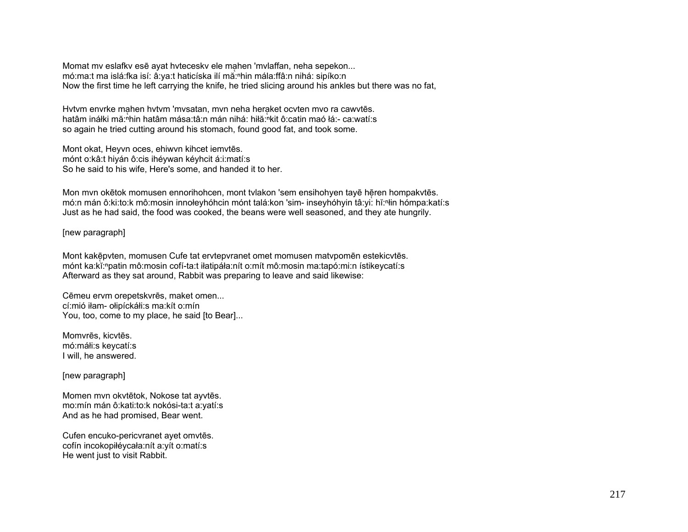Momat my eslafky esē ayat hytecesky ele mahen 'mylaffan, neha sepekon... mó:ma:t ma islá:fka isí: â:ya:t haticíska ilí mă:<sup>n</sup>hin mála:ffâ:n nihá: sipíko:n Now the first time he left carrying the knife, he tried slicing around his ankles but there was no fat,

Hytym envrke mahen hytym 'mysatan, myn neha heraket ocyten myo ra cawytēs. hatâm inálki mă: hin hatâm mása: tâ: n mán nihá: hilă: "kit ô: catin maó lá: - ca: watí: s so again he tried cutting around his stomach, found good fat, and took some.

Mont okat, Heyvn oces, ehiwvn kihcet iemvtēs. mónt o: kâ: t hiyán ô: cis ihéywan kéyhcit á: i: matí: s So he said to his wife, Here's some, and handed it to her.

Mon myn oketok momusen ennorihohcen, mont tylakon 'sem ensihohyen taye heren hompakytes. mó:n mán ô:ki:to:k mô:mosin innołeyhóhcin mónt talá:kon 'sim- inseyhóhyin tâ:yi: hǐ: 'łin hómpa:katí:s Just as he had said, the food was cooked, the beans were well seasoned, and they ate hungrily.

[new paragraph]

Mont kakēpvten, momusen Cufe tat ervtepvranet omet momusen matypomēn estekicvtēs. mónt ka:kǐ:<sup>n</sup>patin mô:mosin cofí-ta:t ilatipála:nít o:mít mô:mosin ma:tapó:mi:n ístikeycatí:s Afterward as they sat around, Rabbit was preparing to leave and said likewise:

Cēmeu ervm orepetskvrēs, maket omen... cí:mió iłam- ołipíckáłi:s ma:kít o:mín You, too, come to my place, he said [to Bear]...

Momvrēs, kicvtēs. mó: máli: s keycatí: s I will, he answered.

[new paragraph]

Momen mvn okvtētok, Nokose tat ayvtēs. mo: mín mán ô: kati: to: k nokósi-ta: t a: yatí: s And as he had promised, Bear went.

Cufen encuko-pericvranet ayet omvtēs. cofín incokopiłéycała:nít a:yít o:matí:s He went just to visit Rabbit.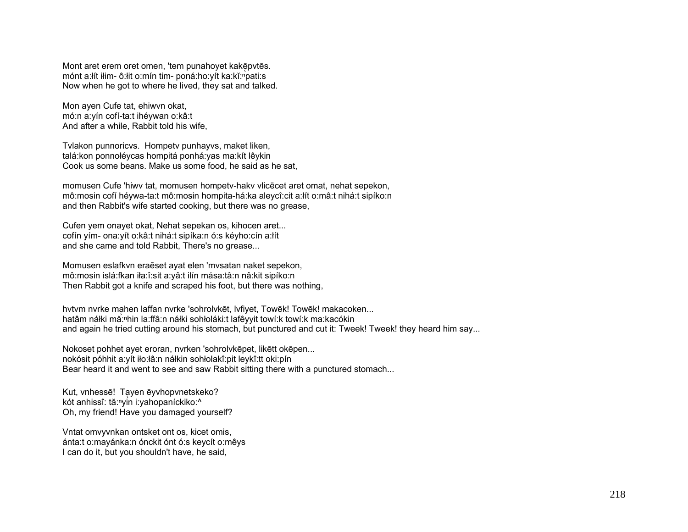Mont aret erem oret omen, 'tem punahoyet kakepytes. mónt a: it iłim - ô: lit o: mín tim - poná: ho: yít ka: kǐ: npati: s Now when he got to where he lived, they sat and talked.

Mon aven Cufe tat, ehiwyn okat. mó:n a: vín cofí-ta: t ihé ywan o: kâ: t And after a while, Rabbit told his wife,

Tylakon punnoricys. Hompety punhayys, maket liken, talá: kon ponnoléycas hompitá ponhá: yas ma: kít lêykin Cook us some beans. Make us some food, he said as he sat.

momusen Cufe 'hiwy tat, momusen hompety-haky vlicecet aret omat, nehat sepekon, mô:mosin cofí héywa-ta:t mô:mosin hompita-há:ka aleycî:cit a:lít o:mâ:t nihá:t sipíko:n and then Rabbit's wife started cooking, but there was no grease,

Cufen yem onayet okat, Nehat sepekan os, kihocen aret... cofín vím- ona: vít o: kâ: t nihá: t sipíka: n ó: s kéyho: cín a: lít and she came and told Rabbit. There's no grease...

Momusen eslafkyn eraēset avat elen 'mysatan naket sepekon, mô:mosin islá:fkan iła:î:sit a:yâ:t ilín mása:tâ:n nâ:kit sipíko:n Then Rabbit got a knife and scraped his foot, but there was nothing,

hytym nyrke mahen laffan nyrke 'sohrolyket, lyfiyet, Towek! Towek! makacoken... hatâm náłki má:<sup>n</sup>hin la:ffâ:n náłki sohłoláki:t lafêyyit towí:k towí:k ma:kacókin and again he tried cutting around his stomach, but punctured and cut it: Tweek! Tweek! they heard him say...

Nokoset pohhet ayet eroran, nyrken 'sohrolykepet, likett okepen... nokósit póhhit a: vít iło:łâ: n náłkin sohłolakî: pit leykî: tt oki: pín Bear heard it and went to see and saw Rabbit sitting there with a punctured stomach...

Kut. vnhessē! Taven ēvvhopvnetskeko? kót anhissî: tă:<sup>n</sup>yin i:yahopaníckiko:^ Oh, my friend! Have you damaged yourself?

Vntat omvyvnkan ontsket ont os, kicet omis, ánta: t o: mayánka: n ónckit ónt ó: s keycít o: mêys I can do it, but you shouldn't have, he said,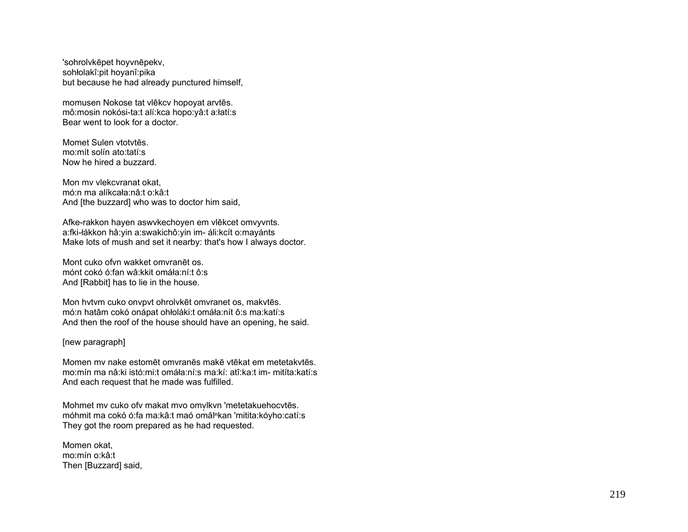'sohrolvkēpet hoyvnēpekv, sohłolakî:pit hoyanî:pika but because he had already punctured himself,

momusen Nokose tat vlēkcv hopoyat arvtēs. mô:mosin nokósi-ta:t alí:kca hopo:yâ:t a:łatí:s Bear went to look for a doctor.

Momet Sulen vtotvtēs. mo:mít solín ato:tatí:s Now he hired a buzzard.

Mon mv vlekcvranat okat, mó:n ma alíkcała:nâ:t o:kâ:t And [the buzzard] who was to doctor him said,

Afke-rakkon hayen aswvkechoyen em vlēkcet omvyvnts. a:fki-łákkon hâ:yin a:swakichô:yin im- áli:kcít o:mayánts Make lots of mush and set it nearby: that's how I always doctor.

Mont cuko ofvn wakket omvranēt os. mónt cokó ó:fan wâ:kkit omáła:ní:t ô:s And [Rabbit] has to lie in the house.

Mon hvtvm cuko onvpvt ohrolvkēt omvranet os, makvtēs. mó:n hatâm cokó onápat ohłoláki:t omáła:nít ô:s ma:katí:s And then the roof of the house should have an opening, he said.

## [new paragraph]

Momen mv nake estomēt omvranēs makē vtēkat em metetakvtēs. mo:mín ma nâ:ki istó:mi:t omáła:ní:s ma:kí: atî:ka:t im- mitíta:katí:s And each request that he made was fulfilled.

Mohmet mv cuko ofv makat mvo omv lkvn 'metetakuehocvtēs. ̜ móhmit ma cokó ó:fa ma:kâ:t maó omălⁿkan 'mitita:kóyho:catí:s They got the room prepared as he had requested.

Momen okat, mo:mín o:kâ:t Then [Buzzard] said,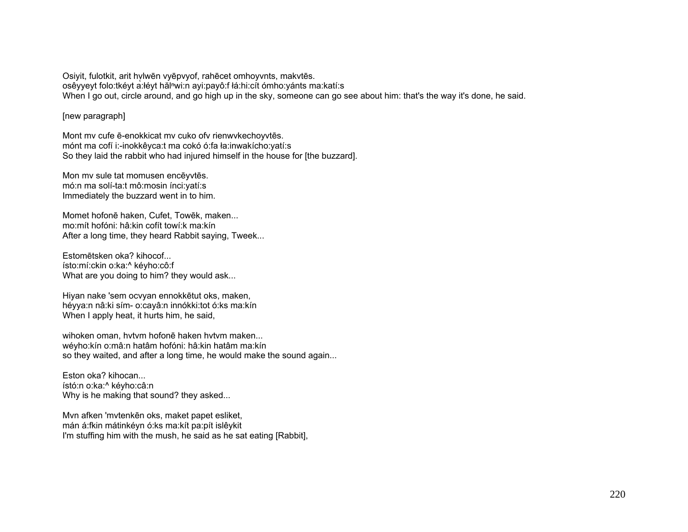Osiyit, fulotkit, arit hvlwēn vyēpvyof, rahēcet omhoyvnts, makvtēs. osêyyeyt folo:tkéyt a:łéyt hăl<sup>n</sup>wi:n ayi:payô:f łá:hi:cít ómho:yánts ma:katí:s When I go out, circle around, and go high up in the sky, someone can go see about him: that's the way it's done, he said.

## [new paragraph]

Mont mv cufe ē-enokkicat mv cuko ofv rienwvkechoyvtēs. mónt ma cofí i:-inokkêyca:t ma cokó ó:fa ła:inwakícho:yatí:s So they laid the rabbit who had injured himself in the house for [the buzzard].

Mon mv sule tat momusen encēyvtēs. mó:n ma solí-ta:t mô:mosin ínci:yatí:s Immediately the buzzard went in to him.

Momet hofonē haken, Cufet, Towēk, maken... mo:mít hofóni: hâ:kin cofít towí:k ma:kín After a long time, they heard Rabbit saying, Tweek...

Estomētsken oka? kihocof... ísto:mí:ckin o:ka:^ kéyho:cô:f What are you doing to him? they would ask...

Hiyan nake 'sem ocvyan ennokkētut oks, maken, héyya:n nâ:ki sím- o:cayâ:n innókki:tot ó:ks ma:kín When I apply heat, it hurts him, he said,

wihoken oman, hvtvm hofonē haken hvtvm maken... wéyho:kín o:mâ:n hatâm hofóni: hâ:kin hatâm ma:kín so they waited, and after a long time, he would make the sound again...

Eston oka? kihocan... ístó:n o:ka:^ kéyho:câ:n Why is he making that sound? they asked...

Mvn afken 'mvtenkēn oks, maket papet esliket, mán á:fkin mátinkéyn ó:ks ma:kít pa:pít islêykit I'm stuffing him with the mush, he said as he sat eating [Rabbit],